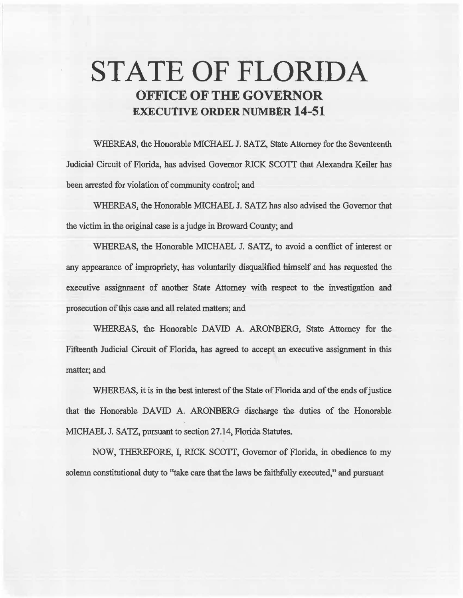# **STATE OF FLORIDA OFFICE OF THE GOVERNOR EXECUTIVE ORDER NUMBER 14-51**

WHEREAS, the Honorable MICHAEL J. SATZ, State Attorney for the Seventeenth Judicial Circuit of Florida, has advised Governor RICK SCOTT that Alexandra Keller has been arrested for violation of community control; and

WHEREAS, the Honorable MICHAEL J. SATZ has also advised the Governor that the victim in the original case is a judge in Broward County; and

WHEREAS, the Honorable MICHAEL J. SATZ, to avoid a conflict of interest or any appearance of impropriety, has voluntarily disqualified himself and has requested the executive assignment of another State Attorney with respect to the investigation and prosecution of this case and aU related matters; and

WHEREAS, the Honorable DAVID A. ARONBERG, State Attorney for the Fifteenth Judicial Circuit of Florida, has agreed to accept an executive assignment in this matter; and

WHEREAS, it is in the best interest of the State of Florida and of the ends of justice that the Honorable DAVID A. ARONBERG discharge the duties of the Honorable MICHAEL J. SATZ, pursuant to section 27.14, Florida Statutes.

NOW, THEREFORE, I, RICK SCOTI, Governor of Florida, in obedience to my solemn constitutional duty to "take care that the laws be faithfully executed," and pursuant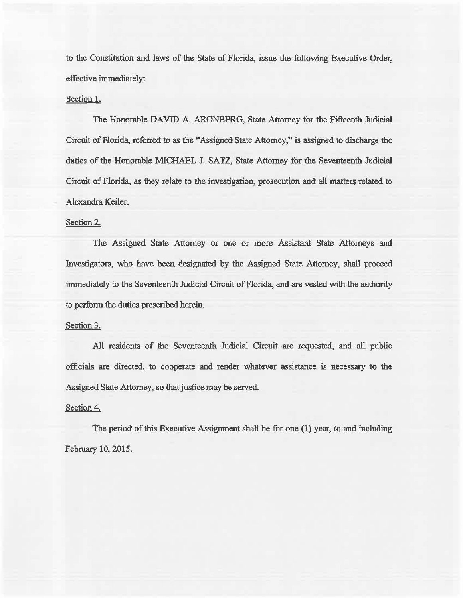to the Constitution and laws of the State of Florida, issue the following Executive Order, effective immediately:

#### Section 1.

The Honorable DAVID A. ARONBERG, State Attorney for the Fifteenth Judicial Circuit of Florida, referred to as the ••Assigned State Attorney,'' is assigned to discharge the duties of the Honorable MICHAEL J. SATZ, State Attorney for the Seventeenth Judicial Circuit of Florida, as they relate to the investigation, prosecution and aH matters related to Alexandra Keiler.

## Section 2.

The Assigned State Attorney or one or more Assistant State Attorneys and Investigators, who have been designated by the Assigned State Attorney, shall proceed immediately to the Seventeenth Judicial Circuit of Florida, and are vested with the authority to perform the duties prescribed herein.

#### Section 3.

All residents of the Seventeenth Judicial Circuit are requested, and all public officials are directed, to cooperate and render whatever assistance is necessary to the Assigned State Attorney, so that justice may be served.

## Section 4.

The period of this Executive Assignment shall be for one (1) year, to and including February 10, 2015.